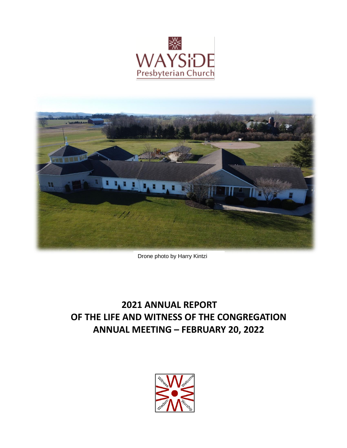



Drone photo by Harry Kintzi

# **2021 ANNUAL REPORT OF THE LIFE AND WITNESS OF THE CONGREGATION ANNUAL MEETING – FEBRUARY 20, 2022**

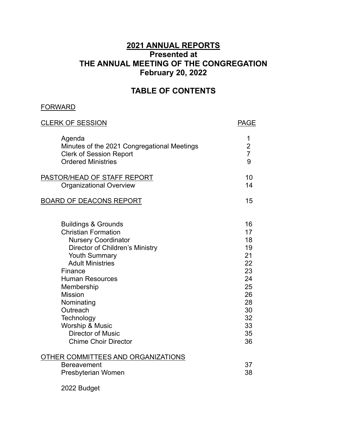## **2021 ANNUAL REPORTS Presented at THE ANNUAL MEETING OF THE CONGREGATION February 20, 2022**

## **TABLE OF CONTENTS**

## FORWARD

| <b>CLERK OF SESSION</b>                                                                              | <b>PAGE</b>    |
|------------------------------------------------------------------------------------------------------|----------------|
| Agenda                                                                                               | 1              |
| Minutes of the 2021 Congregational Meetings                                                          | $\overline{2}$ |
| <b>Clerk of Session Report</b>                                                                       | $\overline{7}$ |
| <b>Ordered Ministries</b>                                                                            | 9              |
| PASTOR/HEAD OF STAFF REPORT                                                                          | 10             |
| <b>Organizational Overview</b>                                                                       | 14             |
| <b>BOARD OF DEACONS REPORT</b>                                                                       | 15             |
| <b>Buildings &amp; Grounds</b>                                                                       | 16             |
| <b>Christian Formation</b>                                                                           | 17             |
| <b>Nursery Coordinator</b>                                                                           | 18             |
| Director of Children's Ministry                                                                      | 19             |
| <b>Youth Summary</b>                                                                                 | 21             |
| <b>Adult Ministries</b>                                                                              | 22             |
| Finance                                                                                              | 23             |
| <b>Human Resources</b>                                                                               | 24             |
| Membership                                                                                           | 25             |
| <b>Mission</b>                                                                                       | 26             |
| Nominating                                                                                           | 28             |
| Outreach                                                                                             | 30             |
| Technology                                                                                           | 32             |
| <b>Worship &amp; Music</b>                                                                           | 33             |
| <b>Director of Music</b>                                                                             | 35             |
| <b>Chime Choir Director</b>                                                                          | 36             |
| <b>OTHER COMMITTEES AND ORGANIZATIONS</b><br><b>Bereavement</b><br>Presbyterian Women<br>2022 Budget | 37<br>38       |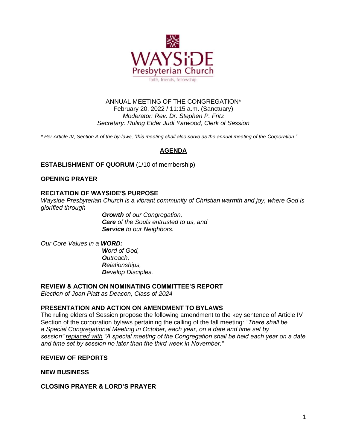

#### ANNUAL MEETING OF THE CONGREGATION\* February 20, 2022 / 11:15 a.m. (Sanctuary) *Moderator: Rev. Dr. Stephen P. Fritz Secretary: Ruling Elder Judi Yarwood, Clerk of Session*

*\* Per Article IV, Section A of the by-laws, "this meeting shall also serve as the annual meeting of the Corporation."*

#### **AGENDA**

#### **ESTABLISHMENT OF QUORUM** (1/10 of membership)

#### **OPENING PRAYER**

#### **RECITATION OF WAYSIDE'S PURPOSE**

*Wayside Presbyterian Church is a vibrant community of Christian warmth and joy, where God is glorified through* 

> *Growth of our Congregation, Care of the Souls entrusted to us, and Service to our Neighbors.*

*Our Core Values in a WORD:*

*Word of God, Outreach, Relationships, Develop Disciples.*

#### **REVIEW & ACTION ON NOMINATING COMMITTEE'S REPORT**

*Election of Joan Platt as Deacon, Class of 2024*

#### **PRESENTATION AND ACTION ON AMENDMENT TO BYLAWS**

The ruling elders of Session propose the following amendment to the key sentence of Article IV Section of the corporation bylaws pertaining the calling of the fall meeting: *"There shall be a Special Congregational Meeting in October, each year, on a date and time set by session" replaced with "A special meeting of the Congregation shall be held each year on a date and time set by session no later than the third week in November."* 

#### **REVIEW OF REPORTS**

**NEW BUSINESS**

**CLOSING PRAYER & LORD'S PRAYER**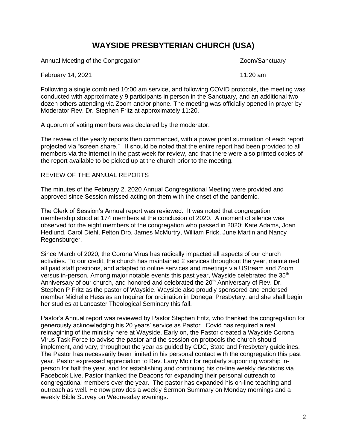## **WAYSIDE PRESBYTERIAN CHURCH (USA)**

Annual Meeting of the Congregation **Network Congregation Zoom/Sanctuary** 

**February 14, 2021** 11:20 am

Following a single combined 10:00 am service, and following COVID protocols, the meeting was conducted with approximately 9 participants in person in the Sanctuary, and an additional two dozen others attending via Zoom and/or phone. The meeting was officially opened in prayer by Moderator Rev. Dr. Stephen Fritz at approximately 11:20.

A quorum of voting members was declared by the moderator.

The review of the yearly reports then commenced, with a power point summation of each report projected via "screen share." It should be noted that the entire report had been provided to all members via the internet in the past week for review, and that there were also printed copies of the report available to be picked up at the church prior to the meeting.

#### REVIEW OF THE ANNUAL REPORTS

The minutes of the February 2, 2020 Annual Congregational Meeting were provided and approved since Session missed acting on them with the onset of the pandemic.

The Clerk of Session's Annual report was reviewed. It was noted that congregation membership stood at 174 members at the conclusion of 2020. A moment of silence was observed for the eight members of the congregation who passed in 2020: Kate Adams, Joan Hedlund, Carol Diehl, Felton Dro, James McMurtry, William Frick, June Martin and Nancy Regensburger.

Since March of 2020, the Corona Virus has radically impacted all aspects of our church activities. To our credit, the church has maintained 2 services throughout the year, maintained all paid staff positions, and adapted to online services and meetings via UStream and Zoom versus in-person. Among major notable events this past year, Wayside celebrated the 35<sup>th</sup> Anniversary of our church, and honored and celebrated the 20<sup>th</sup> Anniversary of Rev. Dr. Stephen P Fritz as the pastor of Wayside. Wayside also proudly sponsored and endorsed member Michelle Hess as an Inquirer for ordination in Donegal Presbytery, and she shall begin her studies at Lancaster Theological Seminary this fall.

Pastor's Annual report was reviewed by Pastor Stephen Fritz, who thanked the congregation for generously acknowledging his 20 years' service as Pastor. Covid has required a real reimagining of the ministry here at Wayside. Early on, the Pastor created a Wayside Corona Virus Task Force to advise the pastor and the session on protocols the church should implement, and vary, throughout the year as guided by CDC, State and Presbytery guidelines. The Pastor has necessarily been limited in his personal contact with the congregation this past year. Pastor expressed appreciation to Rev. Larry Moir for regularly supporting worship inperson for half the year, and for establishing and continuing his on-line weekly devotions via Facebook Live. Pastor thanked the Deacons for expanding their personal outreach to congregational members over the year. The pastor has expanded his on-line teaching and outreach as well. He now provides a weekly Sermon Summary on Monday mornings and a weekly Bible Survey on Wednesday evenings.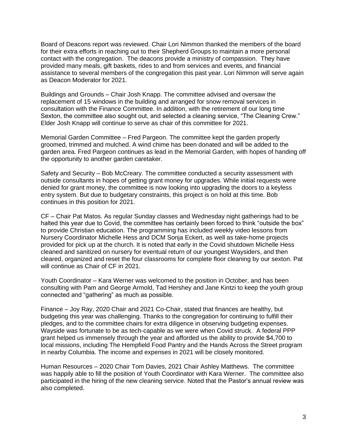Board of Deacons report was reviewed. Chair Lori Nimmon thanked the members of the board for their extra efforts in reaching out to their Shepherd Groups to maintain a more personal contact with the congregation. The deacons provide a ministry of compassion. They have provided many meals, gift baskets, rides to and from services and events, and financial assistance to several members of the congregation this past year. Lori Nimmon will serve again as Deacon Moderator for 2021.

Buildings and Grounds – Chair Josh Knapp. The committee advised and oversaw the replacement of 15 windows in the building and arranged for snow removal services in consultation with the Finance Committee. In addition, with the retirement of our long time Sexton, the committee also sought out, and selected a cleaning service, "The Cleaning Crew." Elder Josh Knapp will continue to serve as chair of this committee for 2021.

Memorial Garden Committee – Fred Pargeon. The committee kept the garden properly groomed, trimmed and mulched. A wind chime has been donated and will be added to the garden area. Fred Pargeon continues as lead in the Memorial Garden, with hopes of handing off the opportunity to another garden caretaker.

Safety and Security – Bob McCreary. The committee conducted a security assessment with outside consultants in hopes of getting grant money for upgrades. While initial requests were denied for grant money, the committee is now looking into upgrading the doors to a keyless entry system. But due to budgetary constraints, this project is on hold at this time. Bob continues in this position for 2021.

CF – Chair Pat Matos. As regular Sunday classes and Wednesday night gatherings had to be halted this year due to Covid, the committee has certainly been forced to think "outside the box" to provide Christian education. The programming has included weekly video lessons from Nursery Coordinator Michelle Hess and DCM Sonja Eckert, as well as take-home projects provided for pick up at the church. It is noted that early in the Covid shutdown Michelle Hess cleaned and sanitized on nursery for eventual return of our youngest Waysiders, and then cleared, organized and reset the four classrooms for complete floor cleaning by our sexton. Pat will continue as Chair of CF in 2021.

Youth Coordinator – Kara Werner was welcomed to the position in October, and has been consulting with Pam and George Armold, Tad Hershey and Jane Kintzi to keep the youth group connected and "gathering" as much as possible.

Finance – Joy Ray, 2020 Chair and 2021 Co-Chair, stated that finances are healthy, but budgeting this year was challenging. Thanks to the congregation for continuing to fulfill their pledges, and to the committee chairs for extra diligence in observing budgeting expenses. Wayside was fortunate to be as tech-capable as we were when Covid struck. A federal PPP grant helped us immensely through the year and afforded us the ability to provide \$4,700 to local missions, including The Hempfield Food Pantry and the Hands Across the Street program in nearby Columbia. The income and expenses in 2021 will be closely monitored.

Human Resources – 2020 Chair Tom Davies, 2021 Chair Ashley Matthews. The committee was happily able to fill the position of Youth Coordinator with Kara Werner. The committee also participated in the hiring of the new cleaning service. Noted that the Pastor's annual review was also completed.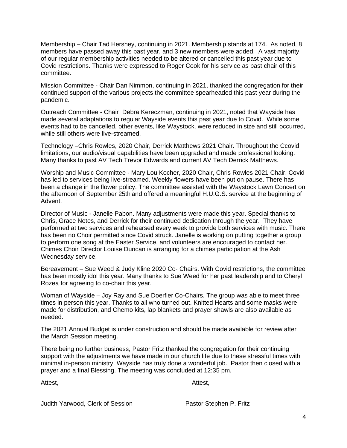Membership – Chair Tad Hershey, continuing in 2021. Membership stands at 174. As noted, 8 members have passed away this past year, and 3 new members were added. A vast majority of our regular membership activities needed to be altered or cancelled this past year due to Covid restrictions. Thanks were expressed to Roger Cook for his service as past chair of this committee.

Mission Committee - Chair Dan Nimmon, continuing in 2021, thanked the congregation for their continued support of the various projects the committee spearheaded this past year during the pandemic.

Outreach Committee - Chair Debra Kereczman, continuing in 2021, noted that Wayside has made several adaptations to regular Wayside events this past year due to Covid. While some events had to be cancelled, other events, like Waystock, were reduced in size and still occurred, while still others were live-streamed.

Technology –Chris Rowles, 2020 Chair, Derrick Matthews 2021 Chair. Throughout the Ccovid limitations, our audio/visual capabilities have been upgraded and made professional looking. Many thanks to past AV Tech Trevor Edwards and current AV Tech Derrick Matthews.

Worship and Music Committee - Mary Lou Kocher, 2020 Chair, Chris Rowles 2021 Chair. Covid has led to services being live-streamed. Weekly flowers have been put on pause. There has been a change in the flower policy. The committee assisted with the Waystock Lawn Concert on the afternoon of September 25th and offered a meaningful H.U.G.S. service at the beginning of Advent.

Director of Music - Janelle Pabon. Many adjustments were made this year. Special thanks to Chris, Grace Notes, and Derrick for their continued dedication through the year. They have performed at two services and rehearsed every week to provide both services with music. There has been no Choir permitted since Covid struck. Janelle is working on putting together a group to perform one song at the Easter Service, and volunteers are encouraged to contact her. Chimes Choir Director Louise Duncan is arranging for a chimes participation at the Ash Wednesday service.

Bereavement – Sue Weed & Judy Kline 2020 Co- Chairs. With Covid restrictions, the committee has been mostly idol this year. Many thanks to Sue Weed for her past leadership and to Cheryl Rozea for agreeing to co-chair this year.

Woman of Wayside – Joy Ray and Sue Doerfler Co-Chairs. The group was able to meet three times in person this year. Thanks to all who turned out. Knitted Hearts and some masks were made for distribution, and Chemo kits, lap blankets and prayer shawls are also available as needed.

The 2021 Annual Budget is under construction and should be made available for review after the March Session meeting.

There being no further business, Pastor Fritz thanked the congregation for their continuing support with the adjustments we have made in our church life due to these stressful times with minimal in-person ministry. Wayside has truly done a wonderful job. Pastor then closed with a prayer and a final Blessing. The meeting was concluded at 12:35 pm.

Attest, Attest,

Judith Yarwood, Clerk of Session **Pastor Stephen P. Fritz**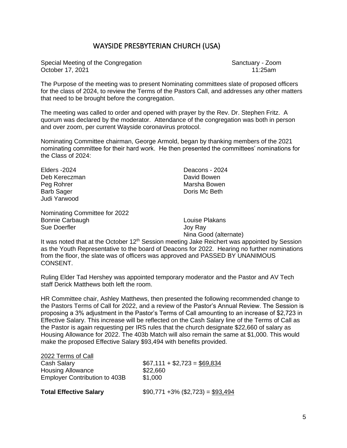## WAYSIDE PRESBYTERIAN CHURCH (USA)

Special Meeting of the Congregation Special Meeting of the Congregation Sanctuary - Zoom October 17, 2021 **11:25am** 11:25am

The Purpose of the meeting was to present Nominating committees slate of proposed officers for the class of 2024, to review the Terms of the Pastors Call, and addresses any other matters that need to be brought before the congregation.

The meeting was called to order and opened with prayer by the Rev. Dr. Stephen Fritz. A quorum was declared by the moderator. Attendance of the congregation was both in person and over zoom, per current Wayside coronavirus protocol.

Nominating Committee chairman, George Armold, began by thanking members of the 2021 nominating committee for their hard work. He then presented the committees' nominations for the Class of 2024:

Elders -2024 Deacons - 2024 Deb Kereczman **David Bowen** Peg Rohrer Marsha Bowen Barb Sager **Doming School School School School School School School School School School School School School School School School School School School School School School School School School School School School School** Judi Yarwood

Nominating Committee for 2022 Bonnie Carbaugh **Louise Plakans** Sue Doerfler **Sue Doerfler** Joy Ray

Nina Good (alternate)

It was noted that at the October  $12<sup>th</sup>$  Session meeting Jake Reichert was appointed by Session as the Youth Representative to the board of Deacons for 2022. Hearing no further nominations from the floor, the slate was of officers was approved and PASSED BY UNANIMOUS CONSENT.

Ruling Elder Tad Hershey was appointed temporary moderator and the Pastor and AV Tech staff Derick Matthews both left the room.

HR Committee chair, Ashley Matthews, then presented the following recommended change to the Pastors Terms of Call for 2022, and a review of the Pastor's Annual Review. The Session is proposing a 3% adjustment in the Pastor's Terms of Call amounting to an increase of \$2,723 in Effective Salary. This increase will be reflected on the Cash Salary line of the Terms of Call as the Pastor is again requesting per IRS rules that the church designate \$22,660 of salary as Housing Allowance for 2022. The 403b Match will also remain the same at \$1,000. This would make the proposed Effective Salary \$93,494 with benefits provided.

| <b>Total Effective Salary</b>                                                                         | $$90,771 +3\%$ (\$2,723) = \$93,494                 |
|-------------------------------------------------------------------------------------------------------|-----------------------------------------------------|
| 2022 Terms of Call<br>Cash Salary<br><b>Housing Allowance</b><br><b>Employer Contribution to 403B</b> | $$67,111 + $2,723 = $69,834$<br>\$22,660<br>\$1,000 |
|                                                                                                       |                                                     |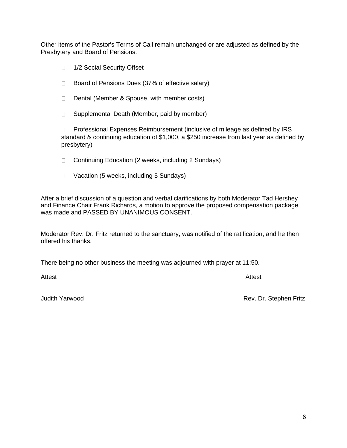Other items of the Pastor's Terms of Call remain unchanged or are adjusted as defined by the Presbytery and Board of Pensions.

- □ 1/2 Social Security Offset
- □ Board of Pensions Dues (37% of effective salary)
- $\Box$  Dental (Member & Spouse, with member costs)
- $\Box$  Supplemental Death (Member, paid by member)

□ Professional Expenses Reimbursement (inclusive of mileage as defined by IRS standard & continuing education of \$1,000, a \$250 increase from last year as defined by presbytery)

- □ Continuing Education (2 weeks, including 2 Sundays)
- □ Vacation (5 weeks, including 5 Sundays)

After a brief discussion of a question and verbal clarifications by both Moderator Tad Hershey and Finance Chair Frank Richards, a motion to approve the proposed compensation package was made and PASSED BY UNANIMOUS CONSENT.

Moderator Rev. Dr. Fritz returned to the sanctuary, was notified of the ratification, and he then offered his thanks.

There being no other business the meeting was adjourned with prayer at 11:50.

Attest Andreas and Attest Attest Attest Attest Attest Attest Attest Attest Attest Attest Attest Attest Attest

Judith Yarwood **Rev. Dr. Stephen Fritz**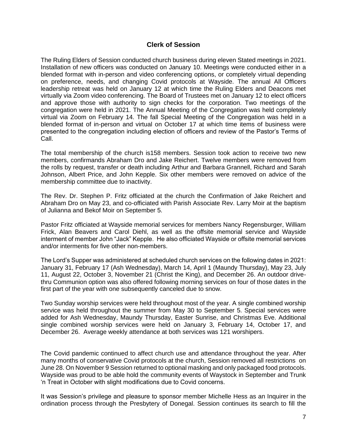## **Clerk of Session**

The Ruling Elders of Session conducted church business during eleven Stated meetings in 2021. Installation of new officers was conducted on January 10. Meetings were conducted either in a blended format with in-person and video conferencing options, or completely virtual depending on preference, needs, and changing Covid protocols at Wayside. The annual All Officers leadership retreat was held on January 12 at which time the Ruling Elders and Deacons met virtually via Zoom video conferencing. The Board of Trustees met on January 12 to elect officers and approve those with authority to sign checks for the corporation. Two meetings of the congregation were held in 2021. The Annual Meeting of the Congregation was held completely virtual via Zoom on February 14. The fall Special Meeting of the Congregation was held in a blended format of in-person and virtual on October 17 at which time items of business were presented to the congregation including election of officers and review of the Pastor's Terms of Call.

The total membership of the church is158 members. Session took action to receive two new members, confirmands Abraham Dro and Jake Reichert. Twelve members were removed from the rolls by request, transfer or death including Arthur and Barbara Grannell, Richard and Sarah Johnson, Albert Price, and John Kepple. Six other members were removed on advice of the membership committee due to inactivity.

The Rev. Dr. Stephen P. Fritz officiated at the church the Confirmation of Jake Reichert and Abraham Dro on May 23, and co-officiated with Parish Associate Rev. Larry Moir at the baptism of Julianna and Bekof Moir on September 5.

Pastor Fritz officiated at Wayside memorial services for members Nancy Regensburger, William Frick, Alan Beavers and Carol Diehl, as well as the offsite memorial service and Wayside interment of member John "Jack" Kepple. He also officiated Wayside or offsite memorial services and/or interments for five other non-members.

The Lord's Supper was administered at scheduled church services on the following dates in 2021: January 31, February 17 (Ash Wednesday), March 14, April 1 (Maundy Thursday), May 23, July 11, August 22, October 3, November 21 (Christ the King), and December 26. An outdoor drivethru Communion option was also offered following morning services on four of those dates in the first part of the year with one subsequently canceled due to snow.

Two Sunday worship services were held throughout most of the year. A single combined worship service was held throughout the summer from May 30 to September 5. Special services were added for Ash Wednesday, Maundy Thursday, Easter Sunrise, and Christmas Eve. Additional single combined worship services were held on January 3, February 14, October 17, and December 26. Average weekly attendance at both services was 121 worshipers.

The Covid pandemic continued to affect church use and attendance throughout the year. After many months of conservative Covid protocols at the church, Session removed all restrictions on June 28. On November 9 Session returned to optional masking and only packaged food protocols. Wayside was proud to be able hold the community events of Waystock in September and Trunk 'n Treat in October with slight modifications due to Covid concerns.

It was Session's privilege and pleasure to sponsor member Michelle Hess as an Inquirer in the ordination process through the Presbytery of Donegal. Session continues its search to fill the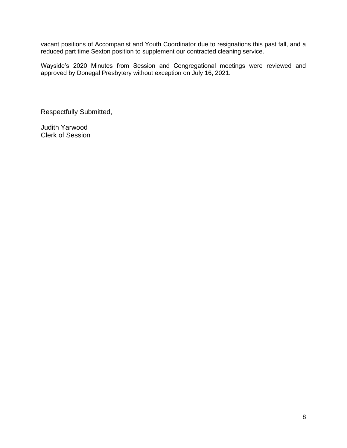vacant positions of Accompanist and Youth Coordinator due to resignations this past fall, and a reduced part time Sexton position to supplement our contracted cleaning service.

Wayside's 2020 Minutes from Session and Congregational meetings were reviewed and approved by Donegal Presbytery without exception on July 16, 2021.

Respectfully Submitted,

Judith Yarwood Clerk of Session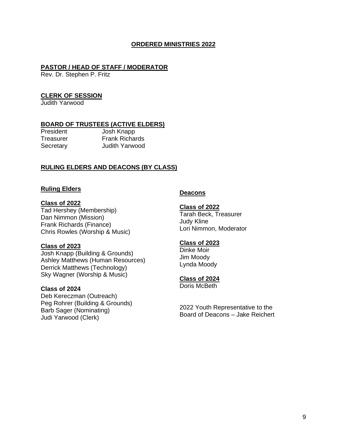#### **ORDERED MINISTRIES 2022**

#### **PASTOR / HEAD OF STAFF / MODERATOR**

Rev. Dr. Stephen P. Fritz

#### **CLERK OF SESSION**

Judith Yarwood

#### **BOARD OF TRUSTEES (ACTIVE ELDERS)**

President Josh Knapp Treasurer **Frank Richards** Secretary **Judith Yarwood** 

#### **RULING ELDERS AND DEACONS (BY CLASS)**

#### **Ruling Elders**

#### **Class of 2022**

Tad Hershey (Membership) Dan Nimmon (Mission) Frank Richards (Finance) Chris Rowles (Worship & Music)

#### **Class of 2023**

Josh Knapp (Building & Grounds) Ashley Matthews (Human Resources) Derrick Matthews (Technology) Sky Wagner (Worship & Music)

#### **Class of 2024**

Deb Kereczman (Outreach) Peg Rohrer (Building & Grounds) Barb Sager (Nominating) Judi Yarwood (Clerk)

## **Deacons**

#### **Class of 2022**

Tarah Beck, Treasurer Judy Kline Lori Nimmon, Moderator

#### **Class of 2023**

Dinke Moir Jim Moody Lynda Moody

#### **Class of 2024**

Doris McBeth

2022 Youth Representative to the Board of Deacons – Jake Reichert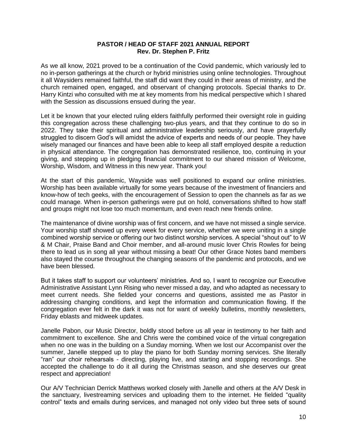#### **PASTOR / HEAD OF STAFF 2021 ANNUAL REPORT Rev. Dr. Stephen P. Fritz**

As we all know, 2021 proved to be a continuation of the Covid pandemic, which variously led to no in-person gatherings at the church or hybrid ministries using online technologies. Throughout it all Waysiders remained faithful, the staff did want they could in their areas of ministry, and the church remained open, engaged, and observant of changing protocols. Special thanks to Dr. Harry Kintzi who consulted with me at key moments from his medical perspective which I shared with the Session as discussions ensued during the year.

Let it be known that your elected ruling elders faithfully performed their oversight role in guiding this congregation across these challenging two-plus years, and that they continue to do so in 2022. They take their spiritual and administrative leadership seriously, and have prayerfully struggled to discern God's will amidst the advice of experts and needs of our people. They have wisely managed our finances and have been able to keep all staff employed despite a reduction in physical attendance. The congregation has demonstrated resilience, too, continuing in your giving, and stepping up in pledging financial commitment to our shared mission of Welcome, Worship, Wisdom, and Witness in this new year. Thank you!

At the start of this pandemic, Wayside was well positioned to expand our online ministries. Worship has been available virtually for some years because of the investment of financiers and know-how of tech geeks, with the encouragement of Session to open the channels as far as we could manage. When in-person gatherings were put on hold, conversations shifted to how staff and groups might not lose too much momentum, and even reach new friends online.

The maintenance of divine worship was of first concern, and we have not missed a single service. Your worship staff showed up every week for every service, whether we were uniting in a single combined worship service or offering our two distinct worship services. A special "shout out" to W & M Chair, Praise Band and Choir member, and all-around music lover Chris Rowles for being there to lead us in song all year without missing a beat! Our other Grace Notes band members also stayed the course throughout the changing seasons of the pandemic and protocols, and we have been blessed.

But it takes staff to support our volunteers' ministries. And so, I want to recognize our Executive Administrative Assistant Lynn Rising who never missed a day, and who adapted as necessary to meet current needs. She fielded your concerns and questions, assisted me as Pastor in addressing changing conditions, and kept the information and communication flowing. If the congregation ever felt in the dark it was not for want of weekly bulletins, monthly newsletters, Friday eblasts and midweek updates.

Janelle Pabon, our Music Director, boldly stood before us all year in testimony to her faith and commitment to excellence. She and Chris were the combined voice of the virtual congregation when no one was in the building on a Sunday morning. When we lost our Accompanist over the summer, Janelle stepped up to play the piano for both Sunday morning services. She literally "ran" our choir rehearsals - directing, playing live, and starting and stopping recordings. She accepted the challenge to do it all during the Christmas season, and she deserves our great respect and appreciation!

Our A/V Technician Derrick Matthews worked closely with Janelle and others at the A/V Desk in the sanctuary, livestreaming services and uploading them to the internet. He fielded "quality control" texts and emails during services, and managed not only video but three sets of sound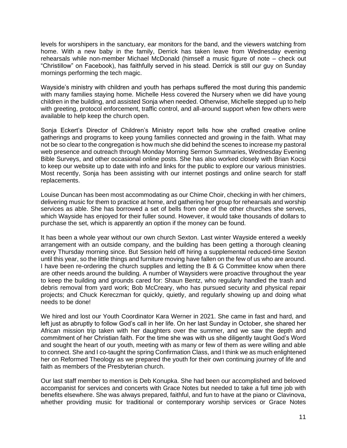levels for worshipers in the sanctuary, ear monitors for the band, and the viewers watching from home. With a new baby in the family, Derrick has taken leave from Wednesday evening rehearsals while non-member Michael McDonald (himself a music figure of note – check out "Christillow" on Facebook), has faithfully served in his stead. Derrick is still our guy on Sunday mornings performing the tech magic.

Wayside's ministry with children and youth has perhaps suffered the most during this pandemic with many families staying home. Michelle Hess covered the Nursery when we did have young children in the building, and assisted Sonja when needed. Otherwise, Michelle stepped up to help with greeting, protocol enforcement, traffic control, and all-around support when few others were available to help keep the church open.

Sonja Eckert's Director of Children's Ministry report tells how she crafted creative online gatherings and programs to keep young families connected and growing in the faith. What may not be so clear to the congregation is how much she did behind the scenes to increase my pastoral web presence and outreach through Monday Morning Sermon Summaries, Wednesday Evening Bible Surveys, and other occasional online posts. She has also worked closely with Brian Kocsi to keep our website up to date with info and links for the public to explore our various ministries. Most recently, Sonja has been assisting with our internet postings and online search for staff replacements.

Louise Duncan has been most accommodating as our Chime Choir, checking in with her chimers, delivering music for them to practice at home, and gathering her group for rehearsals and worship services as able. She has borrowed a set of bells from one of the other churches she serves, which Wayside has enjoyed for their fuller sound. However, it would take thousands of dollars to purchase the set, which is apparently an option if the money can be found.

It has been a whole year without our own church Sexton. Last winter Wayside entered a weekly arrangement with an outside company, and the building has been getting a thorough cleaning every Thursday morning since. But Session held off hiring a supplemental reduced-time Sexton until this year, so the little things and furniture moving have fallen on the few of us who are around. I have been re-ordering the church supplies and letting the B & G Committee know when there are other needs around the building. A number of Waysiders were proactive throughout the year to keep the building and grounds cared for: Shaun Bentz, who regularly handled the trash and debris removal from yard work; Bob McCreary, who has pursued security and physical repair projects; and Chuck Kereczman for quickly, quietly, and regularly showing up and doing what needs to be done!

We hired and lost our Youth Coordinator Kara Werner in 2021. She came in fast and hard, and left just as abruptly to follow God's call in her life. On her last Sunday in October, she shared her African mission trip taken with her daughters over the summer, and we saw the depth and commitment of her Christian faith. For the time she was with us she diligently taught God's Word and sought the heart of our youth, meeting with as many or few of them as were willing and able to connect. She and I co-taught the spring Confirmation Class, and I think we as much enlightened her on Reformed Theology as we prepared the youth for their own continuing journey of life and faith as members of the Presbyterian church.

Our last staff member to mention is Deb Konupka. She had been our accomplished and beloved accompanist for services and concerts with Grace Notes but needed to take a full time job with benefits elsewhere. She was always prepared, faithful, and fun to have at the piano or Clavinova, whether providing music for traditional or contemporary worship services or Grace Notes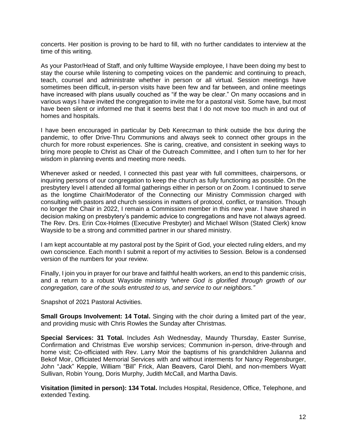concerts. Her position is proving to be hard to fill, with no further candidates to interview at the time of this writing.

As your Pastor/Head of Staff, and only fulltime Wayside employee, I have been doing my best to stay the course while listening to competing voices on the pandemic and continuing to preach, teach, counsel and administrate whether in person or all virtual. Session meetings have sometimes been difficult, in-person visits have been few and far between, and online meetings have increased with plans usually couched as "if the way be clear." On many occasions and in various ways I have invited the congregation to invite me for a pastoral visit. Some have, but most have been silent or informed me that it seems best that I do not move too much in and out of homes and hospitals.

I have been encouraged in particular by Deb Kereczman to think outside the box during the pandemic, to offer Drive-Thru Communions and always seek to connect other groups in the church for more robust experiences. She is caring, creative, and consistent in seeking ways to bring more people to Christ as Chair of the Outreach Committee, and I often turn to her for her wisdom in planning events and meeting more needs.

Whenever asked or needed, I connected this past year with full committees, chairpersons, or inquiring persons of our congregation to keep the church as fully functioning as possible. On the presbytery level I attended all formal gatherings either in person or on Zoom. I continued to serve as the longtime Chair/Moderator of the Connecting our Ministry Commission charged with consulting with pastors and church sessions in matters of protocol, conflict, or transition. Though no longer the Chair in 2022, I remain a Commission member in this new year. I have shared in decision making on presbytery's pandemic advice to congregations and have not always agreed. The Rev. Drs. Erin Cox-Holmes (Executive Presbyter) and Michael Wilson (Stated Clerk) know Wayside to be a strong and committed partner in our shared ministry.

I am kept accountable at my pastoral post by the Spirit of God, your elected ruling elders, and my own conscience. Each month I submit a report of my activities to Session. Below is a condensed version of the numbers for your review.

Finally, I join you in prayer for our brave and faithful health workers, an end to this pandemic crisis, and a return to a robust Wayside ministry *"where God is glorified through growth of our congregation, care of the souls entrusted to us, and service to our neighbors."*

Snapshot of 2021 Pastoral Activities.

**Small Groups Involvement: 14 Total.** Singing with the choir during a limited part of the year, and providing music with Chris Rowles the Sunday after Christmas.

**Special Services: 31 Total.** Includes Ash Wednesday, Maundy Thursday, Easter Sunrise, Confirmation and Christmas Eve worship services; Communion in-person, drive-through and home visit; Co-officiated with Rev. Larry Moir the baptisms of his grandchildren Julianna and Bekof Moir, Officiated Memorial Services with and without interments for Nancy Regensburger, John "Jack" Kepple, William "Bill" Frick, Alan Beavers, Carol Diehl, and non-members Wyatt Sullivan, Robin Young, Doris Murphy, Judith McCall, and Martha Davis.

**Visitation (limited in person): 134 Total.** Includes Hospital, Residence, Office, Telephone, and extended Texting.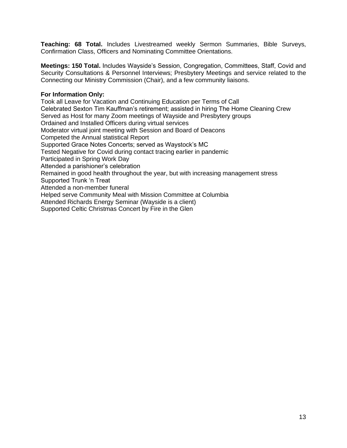**Teaching: 68 Total.** Includes Livestreamed weekly Sermon Summaries, Bible Surveys, Confirmation Class, Officers and Nominating Committee Orientations.

**Meetings: 150 Total.** Includes Wayside's Session, Congregation, Committees, Staff, Covid and Security Consultations & Personnel Interviews; Presbytery Meetings and service related to the Connecting our Ministry Commission (Chair), and a few community liaisons.

### **For Information Only:**

Took all Leave for Vacation and Continuing Education per Terms of Call Celebrated Sexton Tim Kauffman's retirement; assisted in hiring The Home Cleaning Crew Served as Host for many Zoom meetings of Wayside and Presbytery groups Ordained and Installed Officers during virtual services Moderator virtual joint meeting with Session and Board of Deacons Competed the Annual statistical Report Supported Grace Notes Concerts; served as Waystock's MC Tested Negative for Covid during contact tracing earlier in pandemic Participated in Spring Work Day Attended a parishioner's celebration Remained in good health throughout the year, but with increasing management stress Supported Trunk 'n Treat Attended a non-member funeral Helped serve Community Meal with Mission Committee at Columbia Attended Richards Energy Seminar (Wayside is a client) Supported Celtic Christmas Concert by Fire in the Glen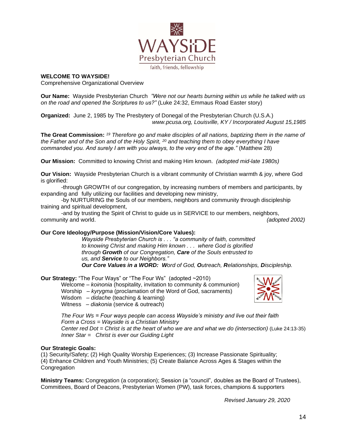

#### **WELCOME TO WAYSIDE!**

Comprehensive Organizational Overview

**Our Name:** Wayside Presbyterian Church *"Were not our hearts burning within us while he talked with us on the road and opened the Scriptures to us?"* (Luke 24:32, Emmaus Road Easter story)

**Organized:** June 2, 1985 by The Presbytery of Donegal of the Presbyterian Church (U.S.A.) *www.pcusa.org, Louisville, KY / Incorporated August 15,1985*

**The Great Commission:** *<sup>19</sup> Therefore go and make disciples of all nations, baptizing them in the name of the Father and of the Son and of the Holy Spirit, <sup>20</sup> and teaching them to obey everything I have commanded you. And surely I am with you always, to the very end of the age."* (Matthew 28)

**Our Mission:** Committed to knowing Christ and making Him known. *(adopted mid-late 1980s)*

**Our Vision:** Wayside Presbyterian Church is a vibrant community of Christian warmth & joy, where God is glorified:

-through GROWTH of our congregation, by increasing numbers of members and participants, by expanding and fully utilizing our facilities and developing new ministry,

-by NURTURING the Souls of our members, neighbors and community through discipleship training and spiritual development,

-and by trusting the Spirit of Christ to guide us in SERVICE to our members, neighbors, community and world. *(adopted 2002)*

#### **Our Core Ideology/Purpose (Mission/Vision/Core Values):**

*Wayside Presbyterian Church is . . . "a community of faith, committed to knowing Christ and making Him known . . . where God is glorified through Growth of our Congregation, Care of the Souls entrusted to us, and Service to our Neighbors."* 

*Our Core Values in a WORD: Word of God, Outreach, Relationships, Discipleship.*

**Our Strategy:** "The Four Ways" or "The Four Ws" (adopted ~2010)

Welcome – *koinonia* (hospitality, invitation to community & communion) Worship – *kyrygma* (proclamation of the Word of God, sacraments) Wisdom – *didache* (teaching & learning) Witness – *diakonia* (service & outreach)



*The Four Ws = Four ways people can access Wayside's ministry and live out their faith Form a Cross = Wayside is a Christian Ministry Center red Dot = Christ is at the heart of who we are and what we do (intersection)* (Luke 24:13-35) *Inner Star = Christ is ever our Guiding Light*

#### **Our Strategic Goals:**

(1) Security/Safety; (2) High Quality Worship Experiences; (3) Increase Passionate Spirituality; (4) Enhance Children and Youth Ministries; (5) Create Balance Across Ages & Stages within the **Congregation** 

**Ministry Teams:** Congregation (a corporation); Session (a "council", doubles as the Board of Trustees), Committees, Board of Deacons, Presbyterian Women (PW), task forces, champions & supporters

*Revised January 29, 2020*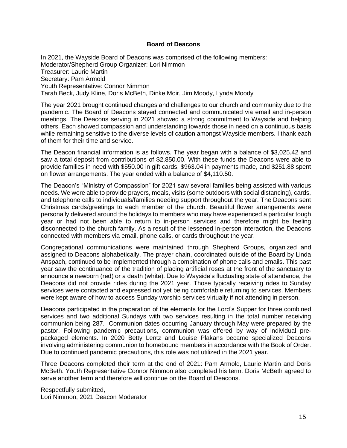#### **Board of Deacons**

In 2021, the Wayside Board of Deacons was comprised of the following members: Moderator/Shepherd Group Organizer: Lori Nimmon Treasurer: Laurie Martin Secretary: Pam Armold Youth Representative: Connor Nimmon Tarah Beck, Judy Kline, Doris McBeth, Dinke Moir, Jim Moody, Lynda Moody

The year 2021 brought continued changes and challenges to our church and community due to the pandemic. The Board of Deacons stayed connected and communicated via email and in-person meetings. The Deacons serving in 2021 showed a strong commitment to Wayside and helping others. Each showed compassion and understanding towards those in need on a continuous basis while remaining sensitive to the diverse levels of caution amongst Wayside members. I thank each of them for their time and service.

The Deacon financial information is as follows. The year began with a balance of \$3,025.42 and saw a total deposit from contributions of \$2,850.00. With these funds the Deacons were able to provide families in need with \$550.00 in gift cards, \$963.04 in payments made, and \$251.88 spent on flower arrangements. The year ended with a balance of \$4,110.50.

The Deacon's "Ministry of Compassion" for 2021 saw several families being assisted with various needs. We were able to provide prayers, meals, visits (some outdoors with social distancing), cards, and telephone calls to individuals/families needing support throughout the year. The Deacons sent Christmas cards/greetings to each member of the church. Beautiful flower arrangements were personally delivered around the holidays to members who may have experienced a particular tough year or had not been able to return to in-person services and therefore might be feeling disconnected to the church family. As a result of the lessened in-person interaction, the Deacons connected with members via email, phone calls, or cards throughout the year.

Congregational communications were maintained through Shepherd Groups, organized and assigned to Deacons alphabetically. The prayer chain, coordinated outside of the Board by Linda Anspach, continued to be implemented through a combination of phone calls and emails. This past year saw the continuance of the tradition of placing artificial roses at the front of the sanctuary to announce a newborn (red) or a death (white). Due to Wayside's fluctuating state of attendance, the Deacons did not provide rides during the 2021 year. Those typically receiving rides to Sunday services were contacted and expressed not yet being comfortable returning to services. Members were kept aware of how to access Sunday worship services virtually if not attending in person.

Deacons participated in the preparation of the elements for the Lord's Supper for three combined services and two additional Sundays with two services resulting in the total number receiving communion being 287. Communion dates occurring January through May were prepared by the pastor. Following pandemic precautions, communion was offered by way of individual prepackaged elements. In 2020 Betty Lentz and Louise Plakans became specialized Deacons involving administering communion to homebound members in accordance with the Book of Order. Due to continued pandemic precautions, this role was not utilized in the 2021 year.

Three Deacons completed their term at the end of 2021: Pam Armold, Laurie Martin and Doris McBeth. Youth Representative Connor Nimmon also completed his term. Doris McBeth agreed to serve another term and therefore will continue on the Board of Deacons.

Respectfully submitted, Lori Nimmon, 2021 Deacon Moderator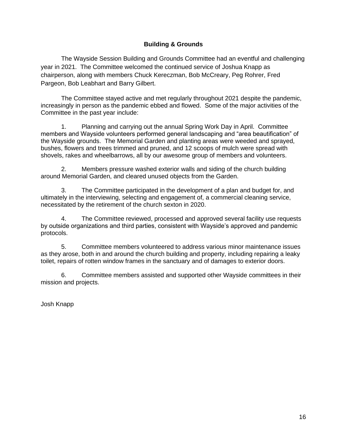## **Building & Grounds**

The Wayside Session Building and Grounds Committee had an eventful and challenging year in 2021. The Committee welcomed the continued service of Joshua Knapp as chairperson, along with members Chuck Kereczman, Bob McCreary, Peg Rohrer, Fred Pargeon, Bob Leabhart and Barry Gilbert.

The Committee stayed active and met regularly throughout 2021 despite the pandemic, increasingly in person as the pandemic ebbed and flowed. Some of the major activities of the Committee in the past year include:

1. Planning and carrying out the annual Spring Work Day in April. Committee members and Wayside volunteers performed general landscaping and "area beautification" of the Wayside grounds. The Memorial Garden and planting areas were weeded and sprayed, bushes, flowers and trees trimmed and pruned, and 12 scoops of mulch were spread with shovels, rakes and wheelbarrows, all by our awesome group of members and volunteers.

2. Members pressure washed exterior walls and siding of the church building around Memorial Garden, and cleared unused objects from the Garden.

3. The Committee participated in the development of a plan and budget for, and ultimately in the interviewing, selecting and engagement of, a commercial cleaning service, necessitated by the retirement of the church sexton in 2020.

4. The Committee reviewed, processed and approved several facility use requests by outside organizations and third parties, consistent with Wayside's approved and pandemic protocols.

5. Committee members volunteered to address various minor maintenance issues as they arose, both in and around the church building and property, including repairing a leaky toilet, repairs of rotten window frames in the sanctuary and of damages to exterior doors.

6. Committee members assisted and supported other Wayside committees in their mission and projects.

Josh Knapp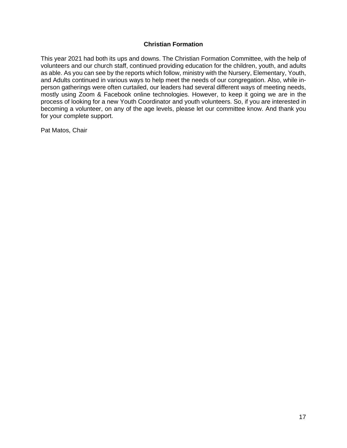#### **Christian Formation**

This year 2021 had both its ups and downs. The Christian Formation Committee, with the help of volunteers and our church staff, continued providing education for the children, youth, and adults as able. As you can see by the reports which follow, ministry with the Nursery, Elementary, Youth, and Adults continued in various ways to help meet the needs of our congregation. Also, while inperson gatherings were often curtailed, our leaders had several different ways of meeting needs, mostly using Zoom & Facebook online technologies. However, to keep it going we are in the process of looking for a new Youth Coordinator and youth volunteers. So, if you are interested in becoming a volunteer, on any of the age levels, please let our committee know. And thank you for your complete support.

Pat Matos, Chair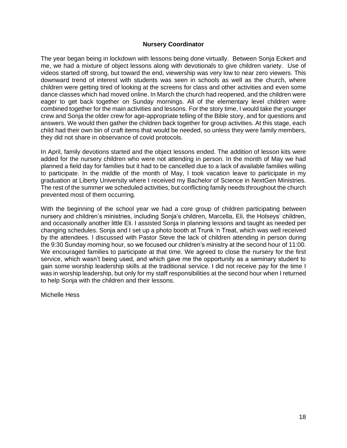#### **Nursery Coordinator**

The year began being in lockdown with lessons being done virtually. Between Sonja Eckert and me, we had a mixture of object lessons along with devotionals to give children variety. Use of videos started off strong, but toward the end, viewership was very low to near zero viewers. This downward trend of interest with students was seen in schools as well as the church, where children were getting tired of looking at the screens for class and other activities and even some dance classes which had moved online. In March the church had reopened, and the children were eager to get back together on Sunday mornings. All of the elementary level children were combined together for the main activities and lessons. For the story time, I would take the younger crew and Sonja the older crew for age-appropriate telling of the Bible story, and for questions and answers. We would then gather the children back together for group activities. At this stage, each child had their own bin of craft items that would be needed, so unless they were family members, they did not share in observance of covid protocols.

In April, family devotions started and the object lessons ended. The addition of lesson kits were added for the nursery children who were not attending in person. In the month of May we had planned a field day for families but it had to be cancelled due to a lack of available families willing to participate. In the middle of the month of May, I took vacation leave to participate in my graduation at Liberty University where I received my Bachelor of Science in NextGen Ministries. The rest of the summer we scheduled activities, but conflicting family needs throughout the church prevented most of them occurring.

With the beginning of the school year we had a core group of children participating between nursery and children's ministries, including Sonja's children, Marcella, Eli, the Holseys' children, and occasionally another little Eli. I assisted Sonja in planning lessons and taught as needed per changing schedules. Sonja and I set up a photo booth at Trunk 'n Treat, which was well received by the attendees. I discussed with Pastor Steve the lack of children attending in person during the 9:30 Sunday morning hour, so we focused our children's ministry at the second hour of 11:00. We encouraged families to participate at that time. We agreed to close the nursery for the first service, which wasn't being used, and which gave me the opportunity as a seminary student to gain some worship leadership skills at the traditional service. I did not receive pay for the time I was in worship leadership, but only for my staff responsibilities at the second hour when I returned to help Sonja with the children and their lessons.

Michelle Hess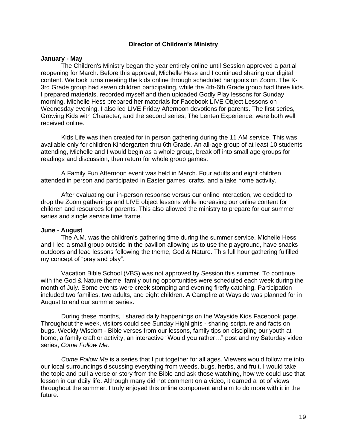#### **Director of Children's Ministry**

#### **January - May**

The Children's Ministry began the year entirely online until Session approved a partial reopening for March. Before this approval, Michelle Hess and I continued sharing our digital content. We took turns meeting the kids online through scheduled hangouts on Zoom. The K-3rd Grade group had seven children participating, while the 4th-6th Grade group had three kids. I prepared materials, recorded myself and then uploaded Godly Play lessons for Sunday morning. Michelle Hess prepared her materials for Facebook LIVE Object Lessons on Wednesday evening. I also led LIVE Friday Afternoon devotions for parents. The first series, Growing Kids with Character, and the second series, The Lenten Experience, were both well received online.

Kids Life was then created for in person gathering during the 11 AM service. This was available only for children Kindergarten thru 6th Grade. An all-age group of at least 10 students attending, Michelle and I would begin as a whole group, break off into small age groups for readings and discussion, then return for whole group games.

A Family Fun Afternoon event was held in March. Four adults and eight children attended in person and participated in Easter games, crafts, and a take home activity.

After evaluating our in-person response versus our online interaction, we decided to drop the Zoom gatherings and LIVE object lessons while increasing our online content for children and resources for parents. This also allowed the ministry to prepare for our summer series and single service time frame.

#### **June - August**

The A.M. was the children's gathering time during the summer service. Michelle Hess and I led a small group outside in the pavilion allowing us to use the playground, have snacks outdoors and lead lessons following the theme, God & Nature. This full hour gathering fulfilled my concept of "pray and play".

Vacation Bible School (VBS) was not approved by Session this summer. To continue with the God & Nature theme, family outing opportunities were scheduled each week during the month of July. Some events were creek stomping and evening firefly catching. Participation included two families, two adults, and eight children. A Campfire at Wayside was planned for in August to end our summer series.

During these months, I shared daily happenings on the Wayside Kids Facebook page. Throughout the week, visitors could see Sunday Highlights - sharing scripture and facts on bugs, Weekly Wisdom - Bible verses from our lessons, family tips on discipling our youth at home, a family craft or activity, an interactive "Would you rather…" post and my Saturday video series, *Come Follow Me.*

*Come Follow Me* is a series that I put together for all ages. Viewers would follow me into our local surroundings discussing everything from weeds, bugs, herbs, and fruit. I would take the topic and pull a verse or story from the Bible and ask those watching, how we could use that lesson in our daily life. Although many did not comment on a video, it earned a lot of views throughout the summer. I truly enjoyed this online component and aim to do more with it in the future.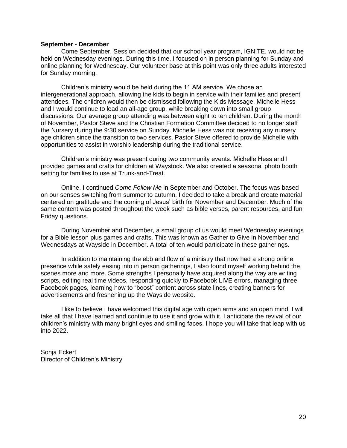#### **September - December**

Come September, Session decided that our school year program, IGNITE, would not be held on Wednesday evenings. During this time, I focused on in person planning for Sunday and online planning for Wednesday. Our volunteer base at this point was only three adults interested for Sunday morning.

Children's ministry would be held during the 11 AM service. We chose an intergenerational approach, allowing the kids to begin in service with their families and present attendees. The children would then be dismissed following the Kids Message. Michelle Hess and I would continue to lead an all-age group, while breaking down into small group discussions. Our average group attending was between eight to ten children. During the month of November, Pastor Steve and the Christian Formation Committee decided to no longer staff the Nursery during the 9:30 service on Sunday. Michelle Hess was not receiving any nursery age children since the transition to two services. Pastor Steve offered to provide Michelle with opportunities to assist in worship leadership during the traditional service.

Children's ministry was present during two community events. Michelle Hess and I provided games and crafts for children at Waystock. We also created a seasonal photo booth setting for families to use at Trunk-and-Treat.

Online, I continued *Come Follow Me* in September and October. The focus was based on our senses switching from summer to autumn. I decided to take a break and create material centered on gratitude and the coming of Jesus' birth for November and December. Much of the same content was posted throughout the week such as bible verses, parent resources, and fun Friday questions.

During November and December, a small group of us would meet Wednesday evenings for a Bible lesson plus games and crafts. This was known as Gather to Give in November and Wednesdays at Wayside in December. A total of ten would participate in these gatherings.

In addition to maintaining the ebb and flow of a ministry that now had a strong online presence while safely easing into in person gatherings, I also found myself working behind the scenes more and more. Some strengths I personally have acquired along the way are writing scripts, editing real time videos, responding quickly to Facebook LIVE errors, managing three Facebook pages, learning how to "boost" content across state lines, creating banners for advertisements and freshening up the Wayside website.

I like to believe I have welcomed this digital age with open arms and an open mind. I will take all that I have learned and continue to use it and grow with it. I anticipate the revival of our children's ministry with many bright eyes and smiling faces. I hope you will take that leap with us into 2022.

Sonja Eckert Director of Children's Ministry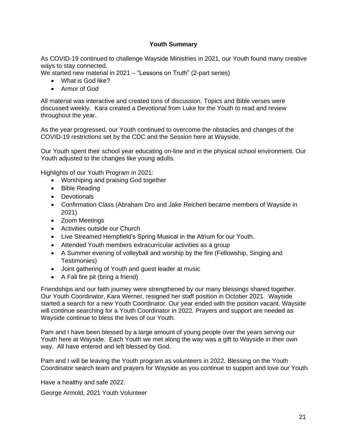## **Youth Summary**

As COVID-19 continued to challenge Wayside Ministries in 2021, our Youth found many creative ways to stay connected.

We started new material in 2021 – "Lessons on Truth" (2-part series)

- What is God like?
- Armor of God

All material was interactive and created tons of discussion. Topics and Bible verses were discussed weekly. Kara created a Devotional from Luke for the Youth to read and review throughout the year.

As the year progressed, our Youth continued to overcome the obstacles and changes of the COVID-19 restrictions set by the CDC and the Session here at Wayside.

Our Youth spent their school year educating on-line and in the physical school environment. Our Youth adjusted to the changes like young adults.

Highlights of our Youth Program in 2021:

- Worshiping and praising God together
- Bible Reading
- Devotionals
- Confirmation Class (Abraham Dro and Jake Reichert became members of Wayside in 2021)
- Zoom Meetings
- Activities outside our Church
- Live Streamed Hempfield's Spring Musical in the Atrium for our Youth.
- Attended Youth members extracurricular activities as a group
- A Summer evening of volleyball and worship by the fire (Fellowship, Singing and Testimonies)
- Joint gathering of Youth and guest leader at music
- A Fall fire pit (bring a friend)

Friendships and our faith journey were strengthened by our many blessings shared together. Our Youth Coordinator, Kara Werner, resigned her staff position in October 2021. Wayside started a search for a new Youth Coordinator. Our year ended with the position vacant. Wayside will continue searching for a Youth Coordinator in 2022. Prayers and support are needed as Wayside continue to bless the lives of our Youth.

Pam and I have been blessed by a large amount of young people over the years serving our Youth here at Wayside. Each Youth we met along the way was a gift to Wayside in their own way. All have entered and left blessed by God.

Pam and I will be leaving the Youth program as volunteers in 2022. Blessing on the Youth Coordinator search team and prayers for Wayside as you continue to support and love our Youth.

Have a healthy and safe 2022.

George Armold, 2021 Youth Volunteer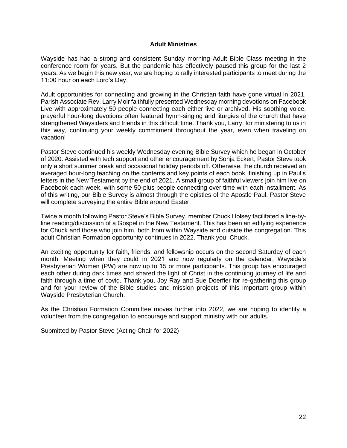#### **Adult Ministries**

Wayside has had a strong and consistent Sunday morning Adult Bible Class meeting in the conference room for years. But the pandemic has effectively paused this group for the last 2 years. As we begin this new year, we are hoping to rally interested participants to meet during the 11:00 hour on each Lord's Day.

Adult opportunities for connecting and growing in the Christian faith have gone virtual in 2021. Parish Associate Rev. Larry Moir faithfully presented Wednesday morning devotions on Facebook Live with approximately 50 people connecting each either live or archived. His soothing voice, prayerful hour-long devotions often featured hymn-singing and liturgies of the church that have strengthened Waysiders and friends in this difficult time. Thank you, Larry, for ministering to us in this way, continuing your weekly commitment throughout the year, even when traveling on vacation!

Pastor Steve continued his weekly Wednesday evening Bible Survey which he began in October of 2020. Assisted with tech support and other encouragement by Sonja Eckert, Pastor Steve took only a short summer break and occasional holiday periods off. Otherwise, the church received an averaged hour-long teaching on the contents and key points of each book, finishing up in Paul's letters in the New Testament by the end of 2021. A small group of faithful viewers join him live on Facebook each week, with some 50-plus people connecting over time with each installment. As of this writing, our Bible Survey is almost through the epistles of the Apostle Paul. Pastor Steve will complete surveying the entire Bible around Easter.

Twice a month following Pastor Steve's Bible Survey, member Chuck Holsey facilitated a line-byline reading/discussion of a Gospel in the New Testament. This has been an edifying experience for Chuck and those who join him, both from within Wayside and outside the congregation. This adult Christian Formation opportunity continues in 2022. Thank you, Chuck.

An exciting opportunity for faith, friends, and fellowship occurs on the second Saturday of each month. Meeting when they could in 2021 and now regularly on the calendar, Wayside's Presbyterian Women (PW) are now up to 15 or more participants. This group has encouraged each other during dark times and shared the light of Christ in the continuing journey of life and faith through a time of covid. Thank you, Joy Ray and Sue Doerfler for re-gathering this group and for your review of the Bible studies and mission projects of this important group within Wayside Presbyterian Church.

As the Christian Formation Committee moves further into 2022, we are hoping to identify a volunteer from the congregation to encourage and support ministry with our adults.

Submitted by Pastor Steve (Acting Chair for 2022)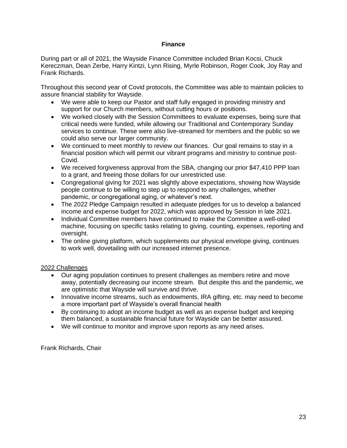## **Finance**

During part or all of 2021, the Wayside Finance Committee included Brian Kocsi, Chuck Kereczman, Dean Zerbe, Harry Kintzi, Lynn Rising, Myrle Robinson, Roger Cook, Joy Ray and Frank Richards.

Throughout this second year of Covid protocols, the Committee was able to maintain policies to assure financial stability for Wayside.

- We were able to keep our Pastor and staff fully engaged in providing ministry and support for our Church members, without cutting hours or positions.
- We worked closely with the Session Committees to evaluate expenses, being sure that critical needs were funded, while allowing our Traditional and Contemporary Sunday services to continue. These were also live-streamed for members and the public so we could also serve our larger community.
- We continued to meet monthly to review our finances. Our goal remains to stay in a financial position which will permit our vibrant programs and ministry to continue post-Covid.
- We received forgiveness approval from the SBA, changing our prior \$47,410 PPP loan to a grant, and freeing those dollars for our unrestricted use.
- Congregational giving for 2021 was slightly above expectations, showing how Wayside people continue to be willing to step up to respond to any challenges, whether pandemic, or congregational aging, or whatever's next.
- The 2022 Pledge Campaign resulted in adequate pledges for us to develop a balanced income and expense budget for 2022, which was approved by Session in late 2021.
- Individual Committee members have continued to make the Committee a well-oiled machine, focusing on specific tasks relating to giving, counting, expenses, reporting and oversight.
- The online giving platform, which supplements our physical envelope giving, continues to work well, dovetailing with our increased internet presence.

## 2022 Challenges

- Our aging population continues to present challenges as members retire and move away, potentially decreasing our income stream. But despite this and the pandemic, we are optimistic that Wayside will survive and thrive.
- Innovative income streams, such as endowments, IRA gifting, etc. may need to become a more important part of Wayside's overall financial health
- By continuing to adopt an income budget as well as an expense budget and keeping them balanced, a sustainable financial future for Wayside can be better assured.
- We will continue to monitor and improve upon reports as any need arises.

Frank Richards, Chair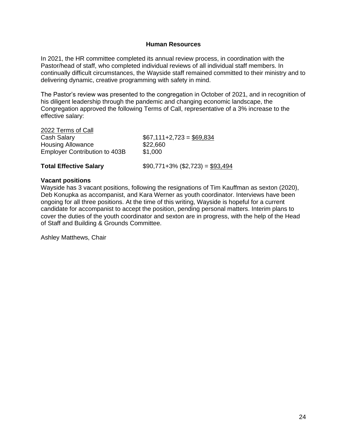#### **Human Resources**

In 2021, the HR committee completed its annual review process, in coordination with the Pastor/head of staff, who completed individual reviews of all individual staff members. In continually difficult circumstances, the Wayside staff remained committed to their ministry and to delivering dynamic, creative programming with safety in mind.

The Pastor's review was presented to the congregation in October of 2021, and in recognition of his diligent leadership through the pandemic and changing economic landscape, the Congregation approved the following Terms of Call, representative of a 3% increase to the effective salary:

| <b>Employer Contribution to 403B</b>                          | \$1,000                               |  |
|---------------------------------------------------------------|---------------------------------------|--|
| <b>Total Effective Salary</b>                                 | $$90,771+3\%$ (\$2,723) = \$93,494    |  |
| 2022 Terms of Call<br>Cash Salary<br><b>Housing Allowance</b> | $$67,111+2,723 = $69,834$<br>\$22,660 |  |

#### **Vacant positions**

Wayside has 3 vacant positions, following the resignations of Tim Kauffman as sexton (2020), Deb Konupka as accompanist, and Kara Werner as youth coordinator. Interviews have been ongoing for all three positions. At the time of this writing, Wayside is hopeful for a current candidate for accompanist to accept the position, pending personal matters. Interim plans to cover the duties of the youth coordinator and sexton are in progress, with the help of the Head of Staff and Building & Grounds Committee.

Ashley Matthews, Chair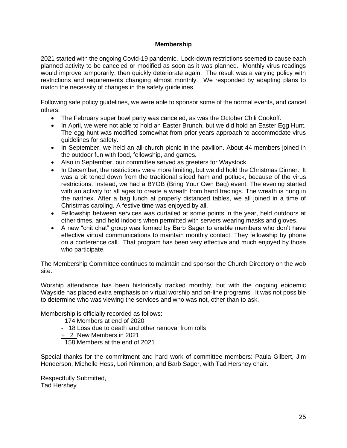## **Membership**

2021 started with the ongoing Covid-19 pandemic. Lock-down restrictions seemed to cause each planned activity to be canceled or modified as soon as it was planned. Monthly virus readings would improve temporarily, then quickly deteriorate again. The result was a varying policy with restrictions and requirements changing almost monthly. We responded by adapting plans to match the necessity of changes in the safety guidelines.

Following safe policy guidelines, we were able to sponsor some of the normal events, and cancel others:

- The February super bowl party was canceled, as was the October Chili Cookoff.
- In April, we were not able to hold an Easter Brunch, but we did hold an Easter Egg Hunt. The egg hunt was modified somewhat from prior years approach to accommodate virus guidelines for safety.
- In September, we held an all-church picnic in the pavilion. About 44 members joined in the outdoor fun with food, fellowship, and games.
- Also in September, our committee served as greeters for Waystock.
- In December, the restrictions were more limiting, but we did hold the Christmas Dinner. It was a bit toned down from the traditional sliced ham and potluck, because of the virus restrictions. Instead, we had a BYOB (Bring Your Own Bag) event. The evening started with an activity for all ages to create a wreath from hand tracings. The wreath is hung in the narthex. After a bag lunch at properly distanced tables, we all joined in a time of Christmas caroling. A festive time was enjoyed by all.
- Fellowship between services was curtailed at some points in the year, held outdoors at other times, and held indoors when permitted with servers wearing masks and gloves.
- A new "chit chat" group was formed by Barb Sager to enable members who don't have effective virtual communications to maintain monthly contact. They fellowship by phone on a conference call. That program has been very effective and much enjoyed by those who participate.

The Membership Committee continues to maintain and sponsor the Church Directory on the web site.

Worship attendance has been historically tracked monthly, but with the ongoing epidemic Wayside has placed extra emphasis on virtual worship and on-line programs. It was not possible to determine who was viewing the services and who was not, other than to ask.

Membership is officially recorded as follows:

- 174 Members at end of 2020
- 18 Loss due to death and other removal from rolls
- + 2 New Members in 2021

158 Members at the end of 2021

Special thanks for the commitment and hard work of committee members: Paula Gilbert, Jim Henderson, Michelle Hess, Lori Nimmon, and Barb Sager, with Tad Hershey chair.

Respectfully Submitted, Tad Hershey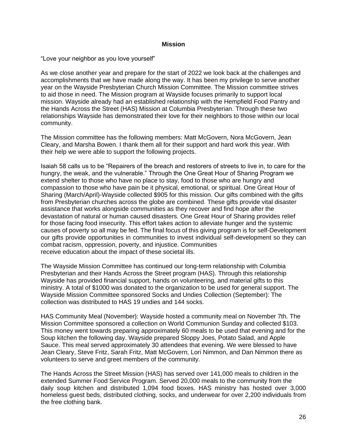#### **Mission**

"Love your neighbor as you love yourself"

As we close another year and prepare for the start of 2022 we look back at the challenges and accomplishments that we have made along the way. It has been my privilege to serve another year on the Wayside Presbyterian Church Mission Committee. The Mission committee strives to aid those in need. The Mission program at Wayside focuses primarily to support local mission. Wayside already had an established relationship with the Hempfield Food Pantry and the Hands Across the Street (HAS) Mission at Columbia Presbyterian. Through these two relationships Wayside has demonstrated their love for their neighbors to those within our local community.

The Mission committee has the following members: Matt McGovern, Nora McGovern, Jean Cleary, and Marsha Bowen. I thank them all for their support and hard work this year. With their help we were able to support the following projects.

Isaiah 58 calls us to be "Repairers of the breach and restorers of streets to live in, to care for the hungry, the weak, and the vulnerable." Through the One Great Hour of Sharing Program we extend shelter to those who have no place to stay, food to those who are hungry and compassion to those who have pain be it physical, emotional, or spiritual. One Great Hour of Sharing (March/April)-Wayside collected \$905 for this mission. Our gifts combined with the gifts from Presbyterian churches across the globe are combined. These gifts provide vital disaster assistance that works alongside communities as they recover and find hope after the devastation of natural or human caused disasters. One Great Hour of Sharing provides relief for those facing food insecurity. This effort takes action to alleviate hunger and the systemic causes of poverty so all may be fed. The final focus of this giving program is for self-Development our gifts provide opportunities in communities to invest individual self-development so they can combat racism, oppression, poverty, and injustice. Communities receive education about the impact of these societal ills.

The Wayside Mission Committee has continued our long-term relationship with Columbia Presbyterian and their Hands Across the Street program (HAS). Through this relationship Wayside has provided financial support, hands on volunteering, and material gifts to this ministry. A total of \$1000 was donated to the organization to be used for general support. The Wayside Mission Committee sponsored Socks and Undies Collection (September): The collection was distributed to HAS 19 undies and 144 socks.

HAS Community Meal (November): Wayside hosted a community meal on November 7th. The Mission Committee sponsored a collection on World Communion Sunday and collected \$103. This money went towards preparing approximately 60 meals to be used that evening and for the Soup kitchen the following day. Wayside prepared Sloppy Joes, Potato Salad, and Apple Sauce. This meal served approximately 30 attendees that evening. We were blessed to have Jean Cleary, Steve Fritz, Sarah Fritz, Matt McGovern, Lori Nimmon, and Dan Nimmon there as volunteers to serve and greet members of the community.

The Hands Across the Street Mission (HAS) has served over 141,000 meals to children in the extended Summer Food Service Program. Served 20,000 meals to the community from the daily soup kitchen and distributed 1,094 food boxes. HAS ministry has hosted over 3,000 homeless guest beds, distributed clothing, socks, and underwear for over 2,200 individuals from the free clothing bank.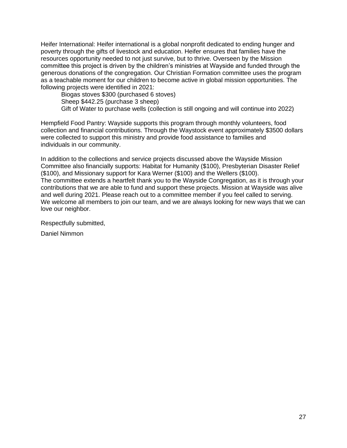Heifer International: Heifer international is a global nonprofit dedicated to ending hunger and poverty through the gifts of livestock and education. Heifer ensures that families have the resources opportunity needed to not just survive, but to thrive. Overseen by the Mission committee this project is driven by the children's ministries at Wayside and funded through the generous donations of the congregation. Our Christian Formation committee uses the program as a teachable moment for our children to become active in global mission opportunities. The following projects were identified in 2021:

Biogas stoves \$300 (purchased 6 stoves) Sheep \$442.25 (purchase 3 sheep) Gift of Water to purchase wells (collection is still ongoing and will continue into 2022)

Hempfield Food Pantry: Wayside supports this program through monthly volunteers, food collection and financial contributions. Through the Waystock event approximately \$3500 dollars were collected to support this ministry and provide food assistance to families and individuals in our community.

In addition to the collections and service projects discussed above the Wayside Mission Committee also financially supports: Habitat for Humanity (\$100), Presbyterian Disaster Relief (\$100), and Missionary support for Kara Werner (\$100) and the Wellers (\$100). The committee extends a heartfelt thank you to the Wayside Congregation, as it is through your contributions that we are able to fund and support these projects. Mission at Wayside was alive and well during 2021. Please reach out to a committee member if you feel called to serving. We welcome all members to join our team, and we are always looking for new ways that we can love our neighbor.

Respectfully submitted,

Daniel Nimmon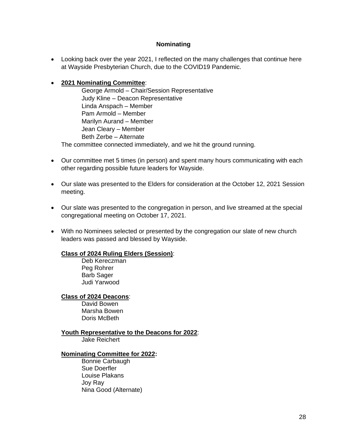#### **Nominating**

• Looking back over the year 2021, I reflected on the many challenges that continue here at Wayside Presbyterian Church, due to the COVID19 Pandemic.

## • **2021 Nominating Committee**:

George Armold – Chair/Session Representative Judy Kline – Deacon Representative Linda Anspach – Member Pam Armold – Member Marilyn Aurand – Member Jean Cleary – Member Beth Zerbe – Alternate The committee connected immediately, and we hit the ground running.

- Our committee met 5 times (in person) and spent many hours communicating with each other regarding possible future leaders for Wayside.
- Our slate was presented to the Elders for consideration at the October 12, 2021 Session meeting.
- Our slate was presented to the congregation in person, and live streamed at the special congregational meeting on October 17, 2021.
- With no Nominees selected or presented by the congregation our slate of new church leaders was passed and blessed by Wayside.

## **Class of 2024 Ruling Elders (Session)**:

Deb Kereczman Peg Rohrer Barb Sager Judi Yarwood

## **Class of 2024 Deacons**:

David Bowen Marsha Bowen Doris McBeth

#### **Youth Representative to the Deacons for 2022**: Jake Reichert

## **Nominating Committee for 2022:**

Bonnie Carbaugh Sue Doerfler Louise Plakans Joy Ray Nina Good (Alternate)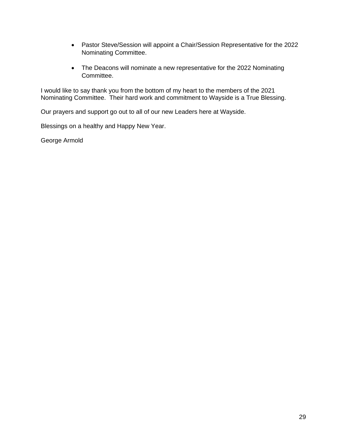- Pastor Steve/Session will appoint a Chair/Session Representative for the 2022 Nominating Committee.
- The Deacons will nominate a new representative for the 2022 Nominating Committee.

I would like to say thank you from the bottom of my heart to the members of the 2021 Nominating Committee. Their hard work and commitment to Wayside is a True Blessing.

Our prayers and support go out to all of our new Leaders here at Wayside.

Blessings on a healthy and Happy New Year.

George Armold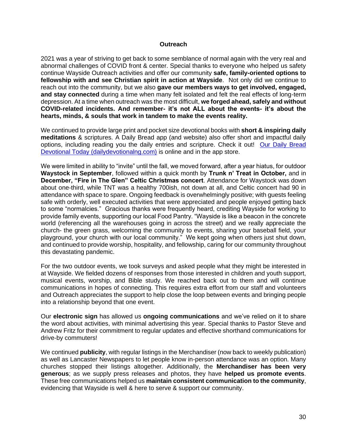#### **Outreach**

2021 was a year of striving to get back to some semblance of normal again with the very real and abnormal challenges of COVID front & center. Special thanks to everyone who helped us safety continue Wayside Outreach activities and offer our community **safe, family-oriented options to fellowship with and see Christian spirit in action at Wayside**. Not only did we continue to reach out into the community, but we also **gave our members ways to get involved, engaged, and stay connected** during a time when many felt isolated and felt the real effects of long-term depression. At a time when outreach was the most difficult, **we forged ahead, safely and without COVID-related incidents. And remember- it's not ALL about the events- it's about the hearts, minds, & souls that work in tandem to make the events reality.** 

We continued to provide large print and pocket size devotional books with **short & inspiring daily meditations** & scriptures. A Daily Bread app (and website) also offer short and impactful daily options, including reading you the daily entries and scripture. Check it out! [Our Daily Bread](https://dailydevotionalng.com/our-daily-bread/)  [Devotional Today \(dailydevotionalng.com\)](https://dailydevotionalng.com/our-daily-bread/) is online and in the app store.

We were limited in ability to "invite" until the fall, we moved forward, after a year hiatus, for outdoor **Waystock in September**, followed within a quick month by **Trunk n' Treat in October,** and in **December, "Fire in The Glen" Celtic Christmas concert**. Attendance for Waystock was down about one-third, while TNT was a healthy 700ish, not down at all, and Celtic concert had 90 in attendance with space to spare. Ongoing feedback is overwhelmingly positive; with guests feeling safe with orderly, well executed activities that were appreciated and people enjoyed getting back to some "normalcies." Gracious thanks were frequently heard, crediting Wayside for working to provide family events, supporting our local Food Pantry. "Wayside is like a beacon in the concrete world (referencing all the warehouses going in across the street) and we really appreciate the church- the green grass, welcoming the community to events, sharing your baseball field, your playground, your church with our local community." We kept going when others just shut down, and continued to provide worship, hospitality, and fellowship, caring for our community throughout this devastating pandemic.

For the two outdoor events, we took surveys and asked people what they might be interested in at Wayside. We fielded dozens of responses from those interested in children and youth support, musical events, worship, and Bible study. We reached back out to them and will continue communications in hopes of connecting. This requires extra effort from our staff and volunteers and Outreach appreciates the support to help close the loop between events and bringing people into a relationship beyond that one event.

Our **electronic sign** has allowed us **ongoing communications** and we've relied on it to share the word about activities, with minimal advertising this year. Special thanks to Pastor Steve and Andrew Fritz for their commitment to regular updates and effective shorthand communications for drive-by commuters!

We continued **publicity**, with regular listings in the Merchandiser (now back to weekly publication) as well as Lancaster Newspapers to let people know in-person attendance was an option. Many churches stopped their listings altogether. Additionally, the **Merchandiser has been very generous**; as we supply press releases and photos, they have **helped us promote events**. These free communications helped us **maintain consistent communication to the community**, evidencing that Wayside is well & here to serve & support our community.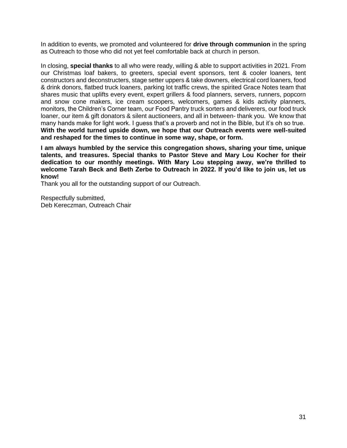In addition to events, we promoted and volunteered for **drive through communion** in the spring as Outreach to those who did not yet feel comfortable back at church in person.

In closing, **special thanks** to all who were ready, willing & able to support activities in 2021. From our Christmas loaf bakers, to greeters, special event sponsors, tent & cooler loaners, tent constructors and deconstructers, stage setter uppers & take downers, electrical cord loaners, food & drink donors, flatbed truck loaners, parking lot traffic crews, the spirited Grace Notes team that shares music that uplifts every event, expert grillers & food planners, servers, runners, popcorn and snow cone makers, ice cream scoopers, welcomers, games & kids activity planners, monitors, the Children's Corner team, our Food Pantry truck sorters and deliverers, our food truck loaner, our item & gift donators & silent auctioneers, and all in between- thank you. We know that many hands make for light work. I guess that's a proverb and not in the Bible, but it's oh so true. **With the world turned upside down, we hope that our Outreach events were well-suited and reshaped for the times to continue in some way, shape, or form.** 

**I am always humbled by the service this congregation shows, sharing your time, unique talents, and treasures. Special thanks to Pastor Steve and Mary Lou Kocher for their dedication to our monthly meetings. With Mary Lou stepping away, we're thrilled to welcome Tarah Beck and Beth Zerbe to Outreach in 2022. If you'd like to join us, let us know!** 

Thank you all for the outstanding support of our Outreach.

Respectfully submitted, Deb Kereczman, Outreach Chair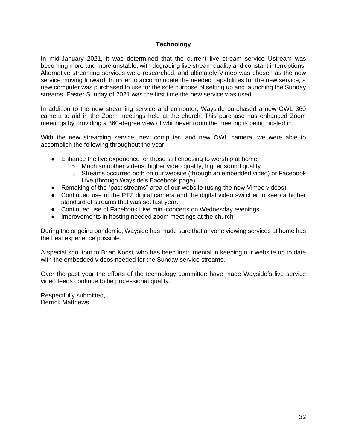## **Technology**

In mid-January 2021, it was determined that the current live stream service Ustream was becoming more and more unstable, with degrading live stream quality and constant interruptions. Alternative streaming services were researched, and ultimately Vimeo was chosen as the new service moving forward. In order to accommodate the needed capabilities for the new service, a new computer was purchased to use for the sole purpose of setting up and launching the Sunday streams. Easter Sunday of 2021 was the first time the new service was used.

In addition to the new streaming service and computer, Wayside purchased a new OWL 360 camera to aid in the Zoom meetings held at the church. This purchase has enhanced Zoom meetings by providing a 360-degree view of whichever room the meeting is being hosted in.

With the new streaming service, new computer, and new OWL camera, we were able to accomplish the following throughout the year:

- Enhance the live experience for those still choosing to worship at home
	- o Much smoother videos, higher video quality, higher sound quality
	- $\circ$  Streams occurred both on our website (through an embedded video) or Facebook Live (through Wayside's Facebook page)
- Remaking of the "past streams" area of our website (using the new Vimeo videos)
- Continued use of the PTZ digital camera and the digital video switcher to keep a higher standard of streams that was set last year.
- Continued use of Facebook Live mini-concerts on Wednesday evenings.
- Improvements in hosting needed zoom meetings at the church

During the ongoing pandemic, Wayside has made sure that anyone viewing services at home has the best experience possible.

A special shoutout to Brian Kocsi, who has been instrumental in keeping our website up to date with the embedded videos needed for the Sunday service streams.

Over the past year the efforts of the technology committee have made Wayside's live service video feeds continue to be professional quality.

Respectfully submitted, Derrick Matthews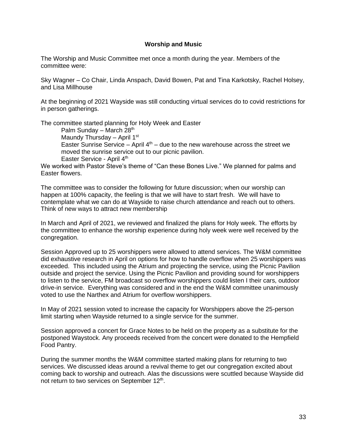#### **Worship and Music**

The Worship and Music Committee met once a month during the year. Members of the committee were:

Sky Wagner – Co Chair, Linda Anspach, David Bowen, Pat and Tina Karkotsky, Rachel Holsey, and Lisa Millhouse

At the beginning of 2021 Wayside was still conducting virtual services do to covid restrictions for in person gatherings.

The committee started planning for Holy Week and Easter

Palm Sunday – March  $28<sup>th</sup>$ 

Maundy Thursday – April  $1<sup>st</sup>$ 

Easter Sunrise Service – April  $4<sup>th</sup>$  – due to the new warehouse across the street we moved the sunrise service out to our picnic pavilion.

Easter Service - April 4th

We worked with Pastor Steve's theme of "Can these Bones Live." We planned for palms and Easter flowers.

The committee was to consider the following for future discussion; when our worship can happen at 100% capacity, the feeling is that we will have to start fresh. We will have to contemplate what we can do at Wayside to raise church attendance and reach out to others. Think of new ways to attract new membership

In March and April of 2021, we reviewed and finalized the plans for Holy week. The efforts by the committee to enhance the worship experience during holy week were well received by the congregation.

Session Approved up to 25 worshippers were allowed to attend services. The W&M committee did exhaustive research in April on options for how to handle overflow when 25 worshippers was exceeded. This included using the Atrium and projecting the service, using the Picnic Pavilion outside and project the service. Using the Picnic Pavilion and providing sound for worshippers to listen to the service, FM broadcast so overflow worshippers could listen I their cars, outdoor drive-in service. Everything was considered and in the end the W&M committee unanimously voted to use the Narthex and Atrium for overflow worshippers.

In May of 2021 session voted to increase the capacity for Worshippers above the 25-person limit starting when Wayside returned to a single service for the summer.

Session approved a concert for Grace Notes to be held on the property as a substitute for the postponed Waystock. Any proceeds received from the concert were donated to the Hempfield Food Pantry.

During the summer months the W&M committee started making plans for returning to two services. We discussed ideas around a revival theme to get our congregation excited about coming back to worship and outreach. Alas the discussions were scuttled because Wayside did not return to two services on September 12<sup>th</sup>.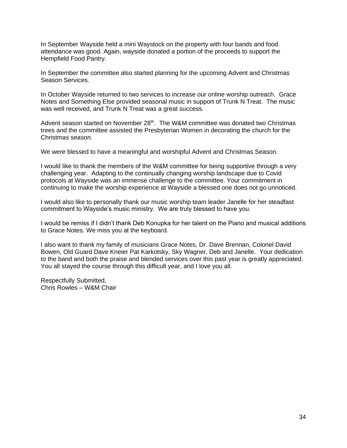In September Wayside held a mini Waystock on the property with four bands and food. attendance was good. Again, wayside donated a portion of the proceeds to support the Hempfield Food Pantry.

In September the committee also started planning for the upcoming Advent and Christmas Season Services.

In October Wayside returned to two services to increase our online worship outreach. Grace Notes and Something Else provided seasonal music in support of Trunk N Treat. The music was well received, and Trunk N Treat was a great success.

Advent season started on November 28<sup>th</sup>. The W&M committee was donated two Christmas trees and the committee assisted the Presbyterian Women in decorating the church for the Christmas season.

We were blessed to have a meaningful and worshipful Advent and Christmas Season.

I would like to thank the members of the W&M committee for being supportive through a very challenging year. Adapting to the continually changing worship landscape due to Covid protocols at Wayside was an immense challenge to the committee. Your commitment in continuing to make the worship experience at Wayside a blessed one does not go unnoticed.

I would also like to personally thank our music worship team leader Janelle for her steadfast commitment to Wayside's music ministry. We are truly blessed to have you.

I would be remiss if I didn't thank Deb Konupka for her talent on the Piano and musical additions to Grace Notes. We miss you at the keyboard.

I also want to thank my family of musicians Grace Notes, Dr. Dave Brennan, Colonel David Bowen, Old Guard Dave Kneier Pat Karkotsky, Sky Wagner, Deb and Janelle. Your dedication to the band and both the praise and blended services over this past year is greatly appreciated. You all stayed the course through this difficult year, and I love you all.

Respectfully Submitted, Chris Rowles – W&M Chair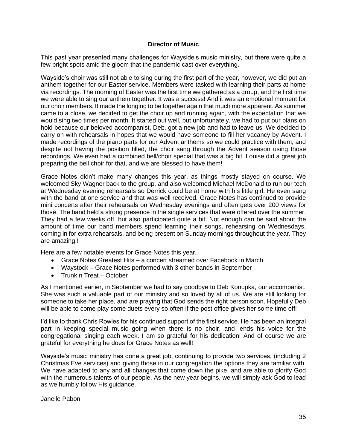#### **Director of Music**

This past year presented many challenges for Wayside's music ministry, but there were quite a few bright spots amid the gloom that the pandemic cast over everything.

Wayside's choir was still not able to sing during the first part of the year, however, we did put an anthem together for our Easter service. Members were tasked with learning their parts at home via recordings. The morning of Easter was the first time we gathered as a group, and the first time we were able to sing our anthem together. It was a success! And it was an emotional moment for our choir members. It made the longing to be together again that much more apparent. As summer came to a close, we decided to get the choir up and running again, with the expectation that we would sing two times per month. It started out well, but unfortunately, we had to put our plans on hold because our beloved accompanist, Deb, got a new job and had to leave us. We decided to carry on with rehearsals in hopes that we would have someone to fill her vacancy by Advent. I made recordings of the piano parts for our Advent anthems so we could practice with them, and despite not having the position filled, the choir sang through the Advent season using those recordings. We even had a combined bell/choir special that was a big hit. Louise did a great job preparing the bell choir for that, and we are blessed to have them!

Grace Notes didn't make many changes this year, as things mostly stayed on course. We welcomed Sky Wagner back to the group, and also welcomed Michael McDonald to run our tech at Wednesday evening rehearsals so Derrick could be at home with his little girl. He even sang with the band at one service and that was well received. Grace Notes has continued to provide mini concerts after their rehearsals on Wednesday evenings and often gets over 200 views for those. The band held a strong presence in the single services that were offered over the summer. They had a few weeks off, but also participated quite a bit. Not enough can be said about the amount of time our band members spend learning their songs, rehearsing on Wednesdays, coming in for extra rehearsals, and being present on Sunday mornings throughout the year. They are amazing!!

Here are a few notable events for Grace Notes this year.

- Grace Notes Greatest Hits a concert streamed over Facebook in March
- Waystock Grace Notes performed with 3 other bands in September
- Trunk n Treat October

As I mentioned earlier, in September we had to say goodbye to Deb Konupka, our accompanist. She was such a valuable part of our ministry and so loved by all of us. We are still looking for someone to take her place, and are praying that God sends the right person soon. Hopefully Deb will be able to come play some duets every so often if the post office gives her some time off!

I'd like to thank Chris Rowles for his continued support of the first service. He has been an integral part in keeping special music going when there is no choir, and lends his voice for the congregational singing each week. I am so grateful for his dedication! And of course we are grateful for everything he does for Grace Notes as well!

Wayside's music ministry has done a great job, continuing to provide two services, (including 2 Christmas Eve services) and giving those in our congregation the options they are familiar with. We have adapted to any and all changes that come down the pike, and are able to glorify God with the numerous talents of our people. As the new year begins, we will simply ask God to lead as we humbly follow His guidance.

Janelle Pabon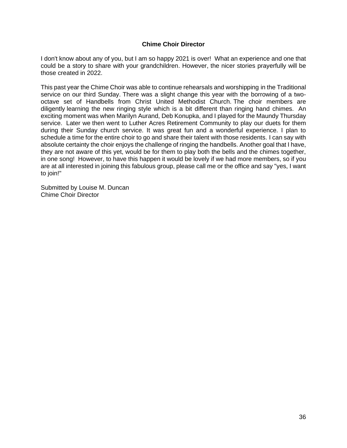### **Chime Choir Director**

I don't know about any of you, but I am so happy 2021 is over! What an experience and one that could be a story to share with your grandchildren. However, the nicer stories prayerfully will be those created in 2022.

This past year the Chime Choir was able to continue rehearsals and worshipping in the Traditional service on our third Sunday. There was a slight change this year with the borrowing of a twooctave set of Handbells from Christ United Methodist Church. The choir members are diligently learning the new ringing style which is a bit different than ringing hand chimes. An exciting moment was when Marilyn Aurand, Deb Konupka, and I played for the Maundy Thursday service. Later we then went to Luther Acres Retirement Community to play our duets for them during their Sunday church service. It was great fun and a wonderful experience. I plan to schedule a time for the entire choir to go and share their talent with those residents. I can say with absolute certainty the choir enjoys the challenge of ringing the handbells. Another goal that I have, they are not aware of this yet, would be for them to play both the bells and the chimes together, in one song! However, to have this happen it would be lovely if we had more members, so if you are at all interested in joining this fabulous group, please call me or the office and say "yes, I want to join!"

Submitted by Louise M. Duncan Chime Choir Director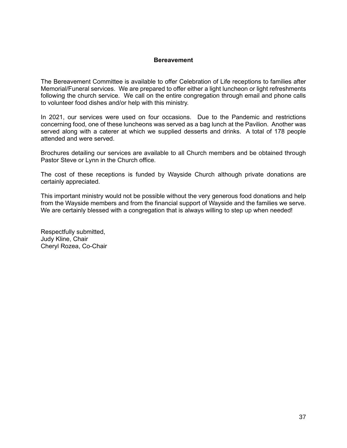#### **Bereavement**

The Bereavement Committee is available to offer Celebration of Life receptions to families after Memorial/Funeral services. We are prepared to offer either a light luncheon or light refreshments following the church service. We call on the entire congregation through email and phone calls to volunteer food dishes and/or help with this ministry.

In 2021, our services were used on four occasions. Due to the Pandemic and restrictions concerning food, one of these luncheons was served as a bag lunch at the Pavilion. Another was served along with a caterer at which we supplied desserts and drinks. A total of 178 people attended and were served.

Brochures detailing our services are available to all Church members and be obtained through Pastor Steve or Lynn in the Church office.

The cost of these receptions is funded by Wayside Church although private donations are certainly appreciated.

This important ministry would not be possible without the very generous food donations and help from the Wayside members and from the financial support of Wayside and the families we serve. We are certainly blessed with a congregation that is always willing to step up when needed!

Respectfully submitted, Judy Kline, Chair Cheryl Rozea, Co-Chair